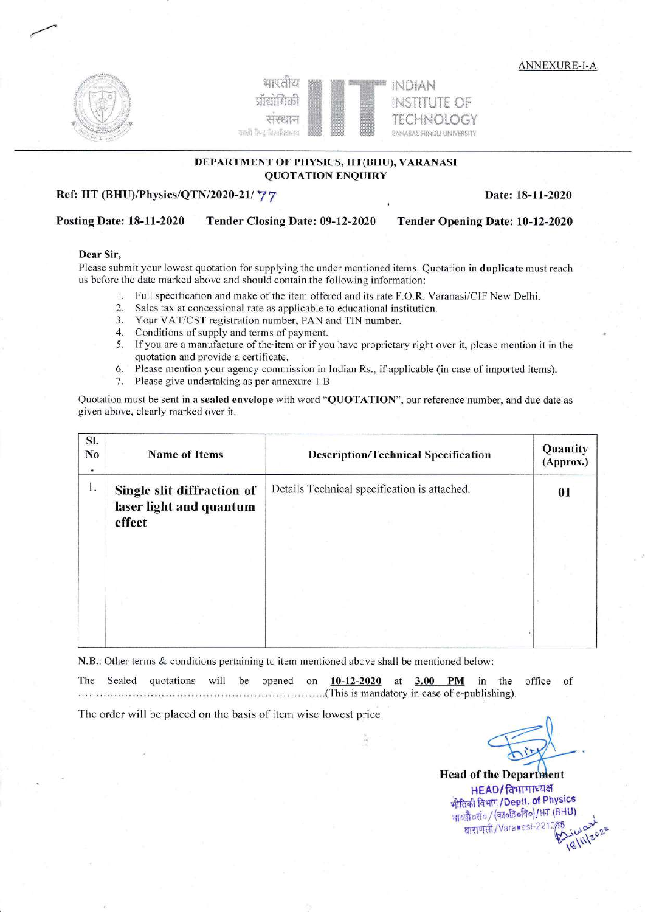ANNEXURE-I-A





### DEPARTMENT OF PHYSICS, IIT(BHU), VARANASI QUOTATION ENQUIRY

### Ref: IIT (BHU)/Physics/QTN/2020-21/ 77 Date: 18-11-2020

## Posting Date: 18-11-2020 Tender Closing Date: 09-12-2020 Tender Opening Date: 10-12-2020

#### Dear Sir,

Please submit your lowest quotation for supplying the under mentioned items. Quotation in duplicate must reach us before the date marked above and should contain the following information:

- L Full specification and make of the item offered and its rate F.O.R. Varanasi/ClF New Delhi.
- 2. Sales tax at concessional rate as applicable to educational institution.
- 3. Your VAT/CST registration number, PAN and TIN number.
- 4. Conditions of supply and terms of payment.
- 5. lf you are a manufacture of the'item or if you have proprietary right over it, please mention it in the quotation and provide a certificate.
- 6. Please mention your agency commission in Indian Rs., if applicable (in case of imported items).
- 7. Please give undertaking as per annexure-l-B

Quotation must be sent in a sealed envelope with word "QUOTATION", our reference number, and due date as given above, clearly marked over it.

| SI.<br>No<br>٠ | <b>Name of Items</b>                                            | <b>Description/Technical Specification</b>   | Quantity<br>(Approx.)<br>01 |  |
|----------------|-----------------------------------------------------------------|----------------------------------------------|-----------------------------|--|
| 1.             | Single slit diffraction of<br>laser light and quantum<br>effect | Details Technical specification is attached. |                             |  |
|                |                                                                 |                                              |                             |  |
|                |                                                                 |                                              |                             |  |
|                |                                                                 |                                              |                             |  |

N.B.: Other terms & conditions pertaining to item mentioned above shall be mentioned below

The Sealed quotations will be opened on 10-12-2020 at ... .r. ... .....(This is mandatory in case of e-publishing). 3.00 PM in the office of

The order will be placed on the basis of item wise lowest price.

Head of the Department  $HEAD/$ विभागाध्यक्ष भौतिकी विभाग / Deptt. of Physics माऔर्व्याव/(कार्वहेवविव)/IHT (BHU)<br>परिवार के (Margareti 221005 - जर्म altight / Varamesi-221005 work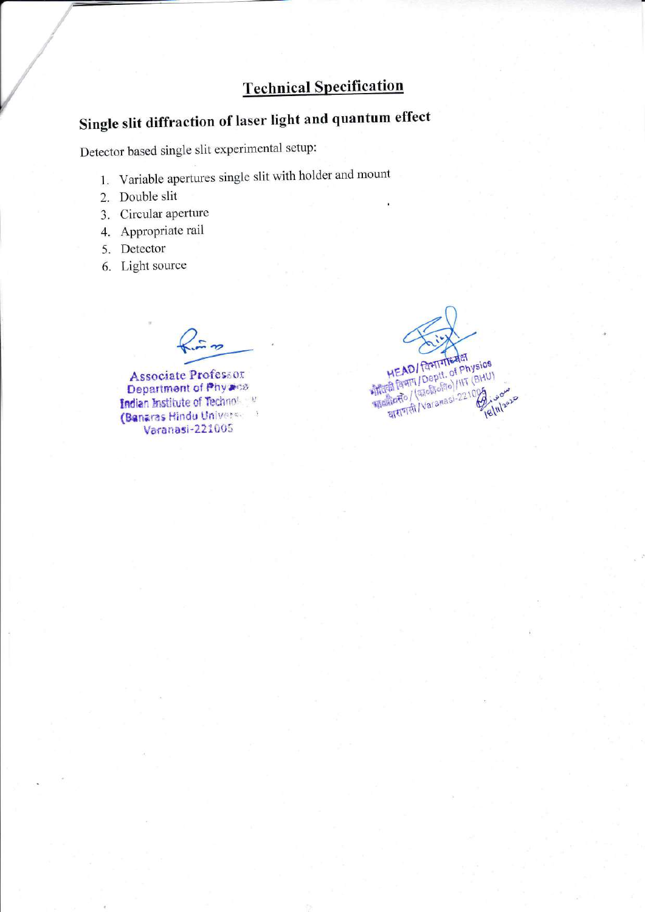# **Technical Specification**

# Single slit diffraction of laser light and quantum effect

Detector based single slit experimental setup:

- 1. Variable apertures single slit with holder and mount
- 2. Double slit
- 3. Circular aperture
- 4. Appropriate rail
- 5. Detector
- 6. Light source

 $\frac{1}{2}$ 

Associate Professor Department of Phyanos Indian Institute of Technology (Banaras Hindu University) Varanasi-221005

**HEAD/ POPITYTIERER** PIEAU/ Igent of Physics द्धावसै०/ (काठावणनगर) 221005 **18/11/2020**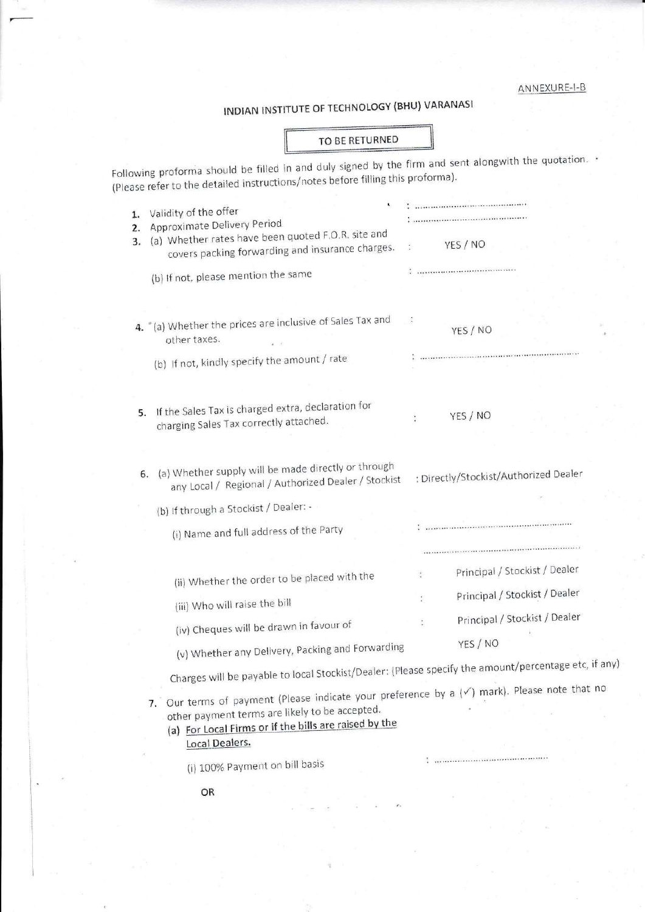# ANNEXURE-I-B

# INDIAN INSTITUTE OF TECHNOLOGY (BHU) VARANASI

|                                                                                                                                                                                                                                     | TO BE RETURNED |                                                                                                      |
|-------------------------------------------------------------------------------------------------------------------------------------------------------------------------------------------------------------------------------------|----------------|------------------------------------------------------------------------------------------------------|
| ollowing proforma should be filled in and duly signed by the firm and sent alongwith the quotation.<br>Please refer to the detailed instructions/notes before filling this proforma).                                               |                |                                                                                                      |
| Validity of the offer<br>1.<br>Approximate Delivery Period<br>2.<br>(a) Whether rates have been quoted F.O.R. site and<br>3.                                                                                                        |                |                                                                                                      |
| covers packing forwarding and insurance charges.                                                                                                                                                                                    |                | YES / NO                                                                                             |
| (b) If not, please mention the same                                                                                                                                                                                                 |                |                                                                                                      |
| 4. "(a) Whether the prices are inclusive of Sales Tax and<br>other taxes.                                                                                                                                                           |                | YES / NO                                                                                             |
| (b) If not, kindly specify the amount / rate                                                                                                                                                                                        |                |                                                                                                      |
| If the Sales Tax is charged extra, declaration for<br>5.<br>charging Sales Tax correctly attached.                                                                                                                                  |                | YES / NO                                                                                             |
| (a) Whether supply will be made directly or through<br>6.<br>any Local / Regional / Authorized Dealer / Stockist<br>(b) If through a Stockist / Dealer: -<br>(i) Name and full address of the Party                                 |                | : Directly/Stockist/Authorized Dealer                                                                |
| (ii) Whether the order to be placed with the                                                                                                                                                                                        |                | Principal / Stockist / Dealer<br>Principal / Stockist / Dealer                                       |
| (iii) Who will raise the bill<br>(iv) Cheques will be drawn in favour of                                                                                                                                                            |                | Principal / Stockist / Dealer                                                                        |
| (v) Whether any Delivery, Packing and Forwarding                                                                                                                                                                                    |                | YES / NO                                                                                             |
|                                                                                                                                                                                                                                     |                | Charges will be payable to local Stockist/Dealer: (Please specify the amount/percentage etc, if any) |
| 7. Our terms of payment (Please indicate your preference by a $(\check{v})$ mark). Please note that no<br>other payment terms are likely to be accepted.<br>(a) For Local Firms or if the bills are raised by the<br>Local Dealers. |                |                                                                                                      |
| (i) 100% Payment on bill basis                                                                                                                                                                                                      |                |                                                                                                      |
|                                                                                                                                                                                                                                     |                |                                                                                                      |

OR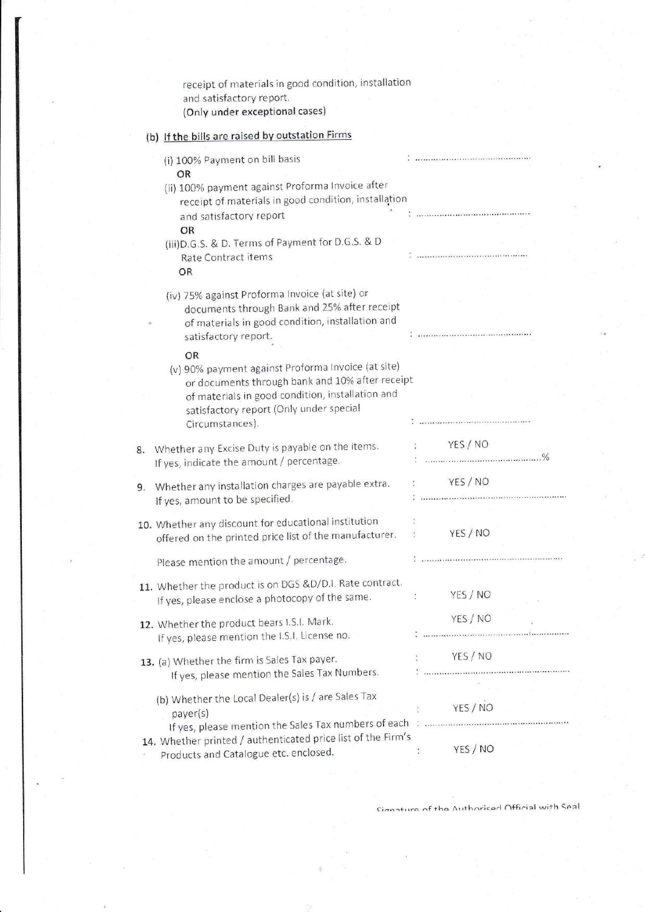|    | receipt of materials in good condition, installation<br>and satisfactory report.<br>(Only under exceptional cases)                                                                                                            |    |               |  |
|----|-------------------------------------------------------------------------------------------------------------------------------------------------------------------------------------------------------------------------------|----|---------------|--|
|    | (b) If the bills are raised by outstation Firms                                                                                                                                                                               |    |               |  |
|    | (i) 100% Payment on bill basis<br>OR                                                                                                                                                                                          |    |               |  |
|    | (ii) 100% payment against Proforma Invoice after<br>receipt of materials in good condition, installation<br>and satisfactory report                                                                                           |    |               |  |
|    | OR                                                                                                                                                                                                                            |    |               |  |
|    | (iii) D.G.S. & D. Terms of Payment for D.G.S. & D<br>Rate Contract items<br>OR                                                                                                                                                |    |               |  |
|    | (iv) 75% against Proforma Invoice (at site) or<br>documents through Bank and 25% after receipt<br>of materials in good condition, installation and<br>satisfactory report.                                                    |    |               |  |
|    | OR<br>(v) 90% payment against Proforma Invoice (at site)<br>or documents through bank and 10% after receipt<br>of materials in good condition, installation and<br>satisfactory report (Only under special<br>Circumstances). |    |               |  |
| 8. | Whether any Excise Duty is payable on the items.<br>If yes, indicate the amount / percentage.                                                                                                                                 |    | YES / NO      |  |
| 9. | Whether any installation charges are payable extra.<br>If yes, amount to be specified.                                                                                                                                        |    | YES / NO      |  |
|    | 10. Whether any discount for educational institution<br>offered on the printed price list of the manufacturer.                                                                                                                |    | YES / NO      |  |
|    | Please mention the amount / percentage.                                                                                                                                                                                       |    |               |  |
|    | 11. Whether the product is on DGS &D/D.I. Rate contract.<br>If yes, please enclose a photocopy of the same.                                                                                                                   | ÷. | YES / NO      |  |
|    | 12. Whether the product bears I.S.I. Mark.<br>If yes, please mention the I.S.I. License no.                                                                                                                                   |    | YES / NO      |  |
|    | 13. (a) Whether the firm is Sales Tax payer.<br>If yes, please mention the Sales Tax Numbers.                                                                                                                                 |    | YES / NO      |  |
|    | (b) Whether the Local Dealer(s) is / are Sales Tax<br>payer(s)                                                                                                                                                                |    | YES / NO      |  |
|    | 14. Whether printed / authenticated price list of the Firm's<br>Products and Catalogue etc. enclosed.                                                                                                                         |    | YES / NO<br>÷ |  |

Cinnature of the Authoricad Official with Seal